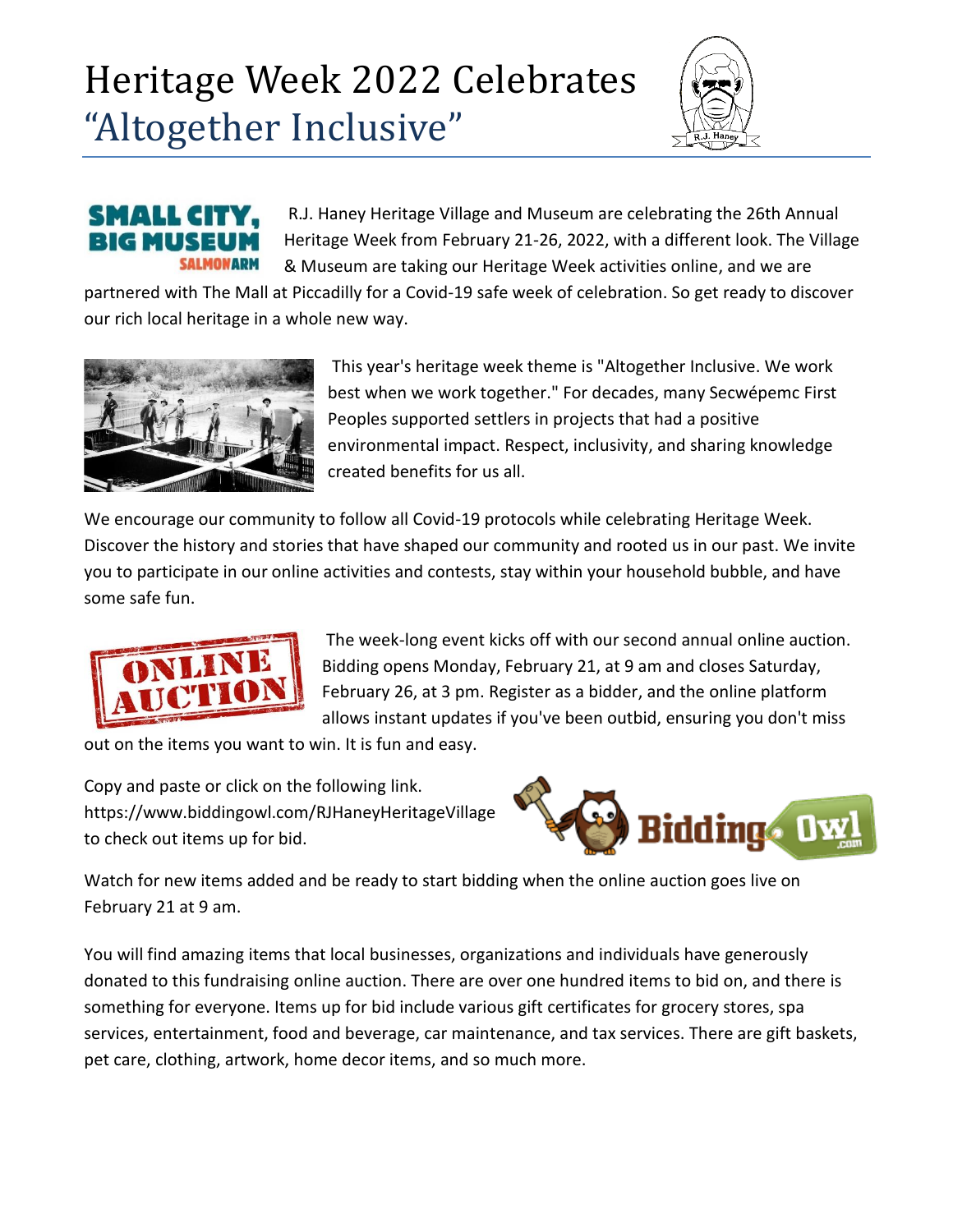## Heritage Week 2022 Celebrates "Altogether Inclusive"



## SMALLG **SALMONARM**

R.J. Haney Heritage Village and Museum are celebrating the 26th Annual Heritage Week from February 21-26, 2022, with a different look. The Village & Museum are taking our [Heritage Week activities online,](https://www.salmonarmmuseum.org/happenings.htm) and we are

partnered with [The Mall at Piccadilly](http://piccadillymall.com/) for a Covid-19 safe week of celebration. So get ready to discover our rich local heritage in a whole new way.



This year's heritage week theme is "Altogether Inclusive. We work best when we work together." For decades, many Secwépemc First Peoples supported settlers in projects that had a positive environmental impact. Respect, inclusivity, and sharing knowledge created benefits for us all.

We encourage our community to follow all Covid-19 protocols while celebrating Heritage Week. Discover the history and stories that have shaped our community and rooted us in our past. We invite you to participate in our online activities and contests, stay within your household bubble, and have some safe fun.



The week-long event kicks off with our second annual [online auction.](https://www.biddingowl.com/RJHaneyHeritageVillage) Bidding opens Monday, February 21, at 9 am and closes Saturday, February 26, at 3 pm. [Register as a bidder,](https://www.biddingowl.com/Auction/Bidders/register.cfm?auctionID=24392) and the online platform allows instant updates if you've been outbid, ensuring you don't miss

out on the items you want to win. It is fun and easy.

Copy and paste or click on the following link. <https://www.biddingowl.com/RJHaneyHeritageVillage> to check out items up for bid.



Watch for new items added and be ready to start bidding when the online auction goes live on February 21 at 9 am.

You will find amazing items that local businesses, organizations and individuals have generously donated to this fundraising [online auction.](https://www.biddingowl.com/RJHaneyHeritageVillage) There are over one hundred items to bid on, and there is something for everyone. Items up for bid include various gift certificates for grocery stores, spa services, entertainment, food and beverage, car maintenance, and tax services. There are gift baskets, pet care, clothing, artwork, home decor items, and so much more.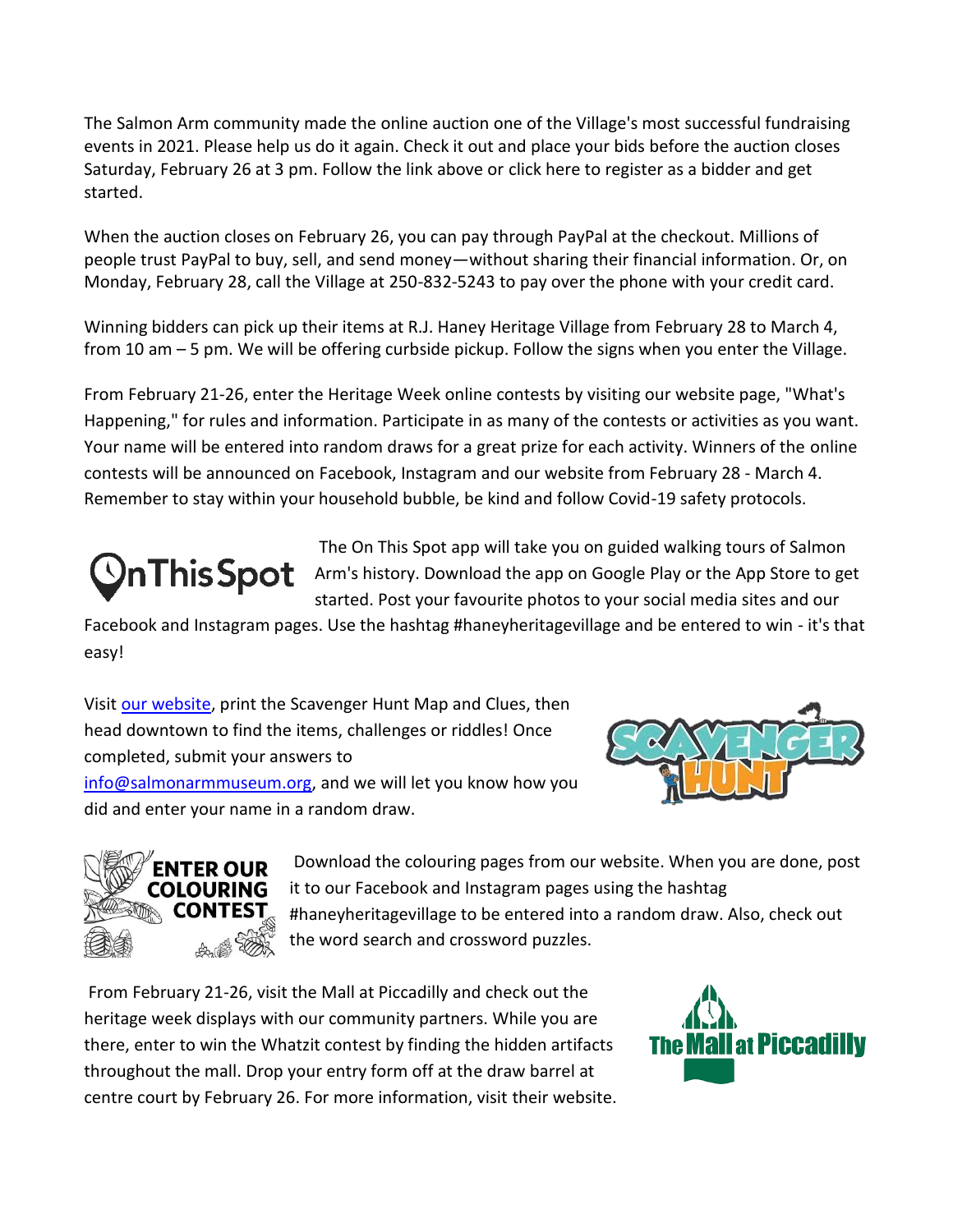The Salmon Arm community made the [online auction](https://www.biddingowl.com/RJHaneyHeritageVillage) one of the Village's most successful fundraising events in 2021. Please help us do it again. Check it out and place your bids before the auction closes Saturday, February 26 at 3 pm. Follow the link above or [click here to register as a bidder a](https://www.biddingowl.com/Auction/Bidders/register.cfm?auctionID=24392)nd get started.

When the auction closes on February 26, you can pay through PayPal at the checkout. Millions of people trust PayPal to buy, sell, and send money—without sharing their financial information. Or, on Monday, February 28, call the Village at 250-832-5243 to pay over the phone with your credit card.

Winning bidders can pick up their items at R.J. Haney Heritage Village from February 28 to March 4, from 10 am – 5 pm. We will be offering curbside pickup. Follow the signs when you enter the Village.

From February 21-26, enter the [Heritage Week online contests](https://www.salmonarmmuseum.org/happenings.htm) by visiting our [website page, "What's](https://www.salmonarmmuseum.org/happenings.htm)  [Happening,"](https://www.salmonarmmuseum.org/happenings.htm) for rules and information. Participate in as many of the contests or activities as you want. Your name will be entered into random draws for a great prize for each activity. Winners of the [online](https://www.salmonarmmuseum.org/happenings.htm)  [contests](https://www.salmonarmmuseum.org/happenings.htm) will be announced on [Facebook,](https://www.facebook.com/Haneyheritage) [Instagram](https://www.instagram.com/rjhaneyheritagevillage/?hl=en) and our [website](https://www.salmonarmmuseum.org/) from February 28 - March 4. Remember to stay within your household bubble, be kind and follow Covid-19 safety protocols.

[The On This Spot](https://onthisspot.ca/cities/salmonarm) app will take you on guided walking tours of Salmon  $\mathbf{P}$   $\mathbf{T}$  his  $\mathbf{S}$  pot Arm's history. Download the app on Google Play or the App Store to get started. Post your favourite photos to your social media sites and our

[Facebook](www.facebook.com/Haneyheritage) and [Instagram](www.instagram.com/rjhaneyheritagevillage/?hl=en) pages. Use the hashtag #haneyheritagevillage and be entered to win - it's that easy!

Visi[t our website,](https://www.salmonarmmuseum.org/happenings.htm) print the Scavenger Hunt Map and Clues, then head downtown to find the items, challenges or riddles! Once completed, submit your answers to [info@salmonarmmuseum.org,](mailto:info@salmonarmmuseum.org) and we will let you know how you did and enter your name in a random draw.





Download the colouring pages from [our website.](https://www.salmonarmmuseum.org/happenings.htm) When you are done, post it to our [Facebook](www.facebook.com/Haneyheritage) an[d Instagram](www.instagram.com/rjhaneyheritagevillage/?hl=en) pages using the hashtag #haneyheritagevillage to be entered into a random draw. Also, check out the word search and crossword puzzles.

From February 21-26, visit the [Mall at Piccadilly](http://piccadillymall.com/) and check out the heritage week displays with our community partners. While you are there, enter to win the Whatzit contest by finding the hidden artifacts throughout the mall. Drop your entry form off at the draw barrel at centre court by February 26. For more information, visit [their website.](http://piccadillymall.com/)

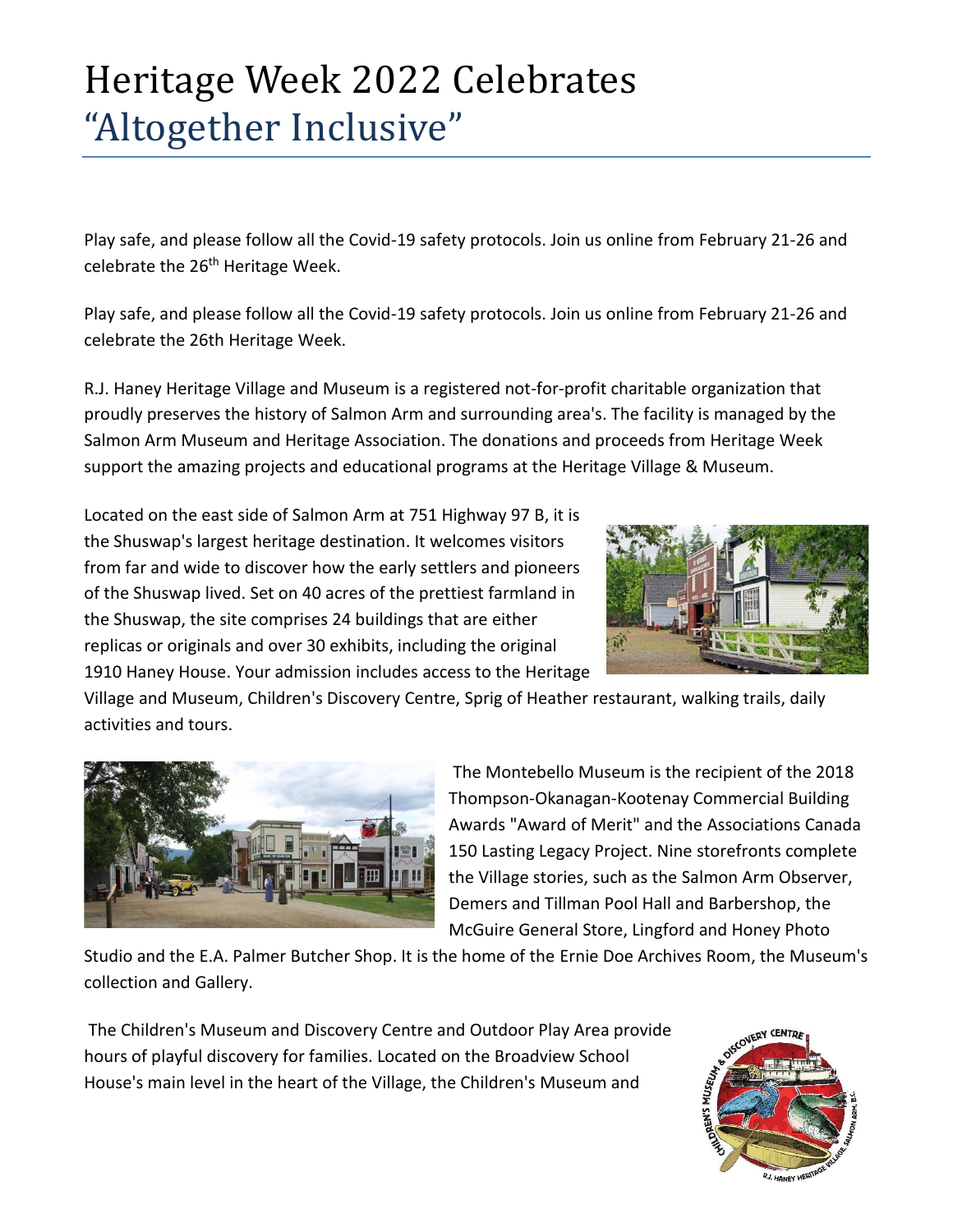## Heritage Week 2022 Celebrates "Altogether Inclusive"

Play safe, and please follow all the Covid-19 safety protocols[. Join us online](https://www.salmonarmmuseum.org/default.htm?RD=1#UpcomingEvents) from February 21-26 and celebrate the 26<sup>th</sup> Heritage Week.

[Play safe, and please follow all the Covid-19 safety protocols. Join us online from February 21-26 and](https://www.salmonarmmuseum.org/)  [celebrate the 26th Heritage Week.](https://www.salmonarmmuseum.org/)

[R.J. Haney Heritage Village and Museum](https://www.salmonarmmuseum.org/) is a registered not-for-profit charitable organization that proudly preserves the history of Salmon Arm and surrounding area's. The facility is managed by the Salmon Arm Museum and Heritage Association. The donations and proceeds from Heritage Week support the amazing projects and educational programs at the Heritage Village & Museum.

Located on the east side of Salmon Arm at [751 Highway 97 B,](https://www.salmonarmmuseum.org/visit.htm) it is the Shuswap's largest heritage destination. It welcomes visitors from far and wide to discover how the early settlers and pioneers of the Shuswap lived. Set on 40 acres of the prettiest farmland in the Shuswap, the site comprises 24 buildings that are either replicas or originals and over 30 exhibits, including the original 1910 Haney House. [Your admission](https://www.salmonarmmuseum.org/admissions.htm) includes access to the [Heritage](https://www.salmonarmmuseum.org/heritage-village.htm) 



[Village](https://www.salmonarmmuseum.org/heritage-village.htm) and [Museum,](https://www.salmonarmmuseum.org/museumexhibits.htm) Children's Discovery Centre, [Sprig of Heather restaurant,](https://www.salmonarmmuseum.org/sprig-of-heather.htm) walking trails, [daily](https://www.salmonarmmuseum.org/daily-programs.htm)  [activities and tours.](https://www.salmonarmmuseum.org/daily-programs.htm)



The Montebello Museum is the recipient of the 2018 Thompson-Okanagan-Kootenay Commercial Building Awards "Award of Merit" and the Associations Canada 150 Lasting Legacy Project. Nine storefronts complete the Village stories, such as the Salmon Arm Observer, Demers and Tillman Pool Hall and Barbershop, the McGuire General Store, Lingford and Honey Photo

Studio and the E.A. Palmer Butcher Shop. It is the home of the [Ernie Doe Archives Room,](https://www.salmonarmmuseum.org/erniedoe.htm) the Museum's collection and [Gallery.](https://www.salmonarmmuseum.org/museumexhibits.htm)

The Children's Museum and Discovery Centre and Outdoor Play Area provide hours of playful discovery for families. Located on the Broadview School House's main level in the heart of the Village, the Children's Museum and